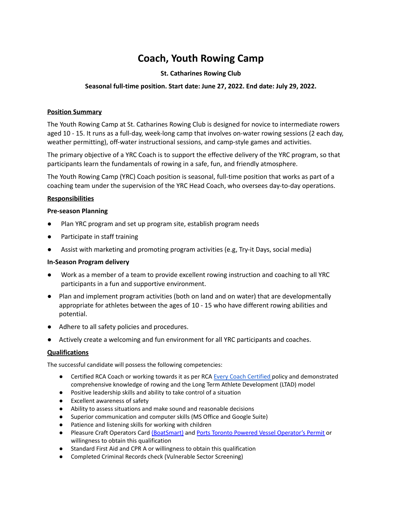# **Coach, Youth Rowing Camp**

## **St. Catharines Rowing Club**

## **Seasonal full-time position. Start date: June 27, 2022. End date: July 29, 2022.**

#### **Position Summary**

The Youth Rowing Camp at St. Catharines Rowing Club is designed for novice to intermediate rowers aged 10 - 15. It runs as a full-day, week-long camp that involves on-water rowing sessions (2 each day, weather permitting), off-water instructional sessions, and camp-style games and activities.

The primary objective of a YRC Coach is to support the effective delivery of the YRC program, so that participants learn the fundamentals of rowing in a safe, fun, and friendly atmosphere.

The Youth Rowing Camp (YRC) Coach position is seasonal, full-time position that works as part of a coaching team under the supervision of the YRC Head Coach, who oversees day-to-day operations.

#### **Responsibilities**

#### **Pre-season Planning**

- Plan YRC program and set up program site, establish program needs
- Participate in staff training
- Assist with marketing and promoting program activities (e.g, Try-it Days, social media)

#### **In-Season Program delivery**

- Work as a member of a team to provide excellent rowing instruction and coaching to all YRC participants in a fun and supportive environment.
- Plan and implement program activities (both on land and on water) that are developmentally appropriate for athletes between the ages of 10 - 15 who have different rowing abilities and potential.
- Adhere to all safety policies and procedures.
- Actively create a welcoming and fun environment for all YRC participants and coaches.

### **Qualifications**

The successful candidate will possess the following competencies:

- [Certified](https://rowingcanada.org/uploads/2020/11/Coach-Education-Update-Fall-2020.pdf) RCA Coach or working towards it as per RCA Every Coach Certified policy and demonstrated comprehensive knowledge of rowing and the Long Term Athlete Development (LTAD) model
- Positive leadership skills and ability to take control of a situation
- Excellent awareness of safety
- Ability to assess situations and make sound and reasonable decisions
- Superior communication and computer skills (MS Office and Google Suite)
- Patience and listening skills for working with children
- Pleasure Craft Operators Card [\(BoatSmart\)](https://www.thecampfirecollective.com/courses/boatsmart/ca/) and Ports Toronto Powered Vessel [Operator's](https://www.portstoronto.com/port-of-toronto/permits-and-authorizations/powered-vessel-operator%E2%80%99s-permit.aspx) Permit or willingness to obtain this qualification
- Standard First Aid and CPR A or willingness to obtain this qualification
- Completed Criminal Records check (Vulnerable Sector Screening)